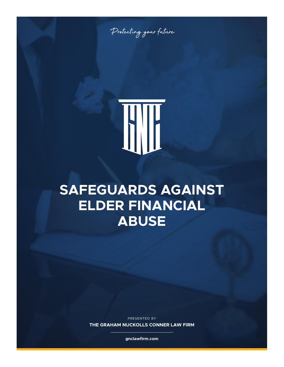Protecting your future

## **SAFEGUARDS AGAINST ELDER FINANCIAL ABUSE**

PRESENTED BY

**THE GRAHAM NUCKOLLS CONNER LAW FIRM**

**gnclawfirm.com**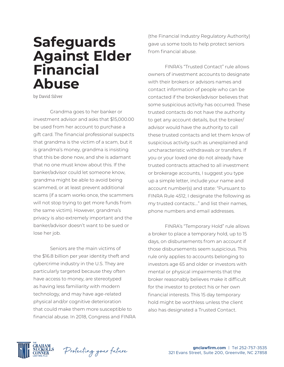## **Safeguards Against Elder Financial Abuse**

by David Silver

Grandma goes to her banker or investment advisor and asks that \$15,000.00 be used from her account to purchase a gift card. The financial professional suspects that grandma is the victim of a scam, but it is grandma's money, grandma is insisting that this be done now, and she is adamant that no one must know about this. If the banker/advisor could let someone know, grandma might be able to avoid being scammed, or at least prevent additional scams (if a scam works once, the scammers will not stop trying to get more funds from the same victim). However, grandma's privacy is also extremely important and the banker/advisor doesn't want to be sued or lose her job.

Seniors are the main victims of the \$16.8 billion per year identity theft and cybercrime industry in the U.S. They are particularly targeted because they often have access to money, are stereotyped as having less familiarity with modern technology, and may have age-related physical and/or cognitive deterioration that could make them more susceptible to financial abuse. In 2018, Congress and FINRA

(the Financial Industry Regulatory Authority) gave us some tools to help protect seniors from financial abuse.

FINRA's "Trusted Contact" rule allows owners of investment accounts to designate with their brokers or advisors names and contact information of people who can be contacted if the broker/advisor believes that some suspicious activity has occurred. These trusted contacts do not have the authority to get any account details, but the broker/ advisor would have the authority to call these trusted contacts and let them know of suspicious activity such as unexplained and uncharacteristic withdrawals or transfers. If you or your loved one do not already have trusted contracts attached to all investment or brokerage accounts, I suggest you type up a simple letter, include your name and account number(s) and state: "Pursuant to FINRA Rule 4512, I designate the following as my trusted contacts:…" and list their names, phone numbers and email addresses.

FINRA's "Temporary Hold" rule allows a broker to place a temporary hold, up to 15 days, on disbursements from an account if those disbursements seem suspicious. This rule only applies to accounts belonging to investors age 65 and older or investors with mental or physical impairments that the broker reasonably believes make it difficult for the investor to protect his or her own financial interests. This 15 day temporary hold might be worthless unless the client also has designated a Trusted Contact.



Protecting your future